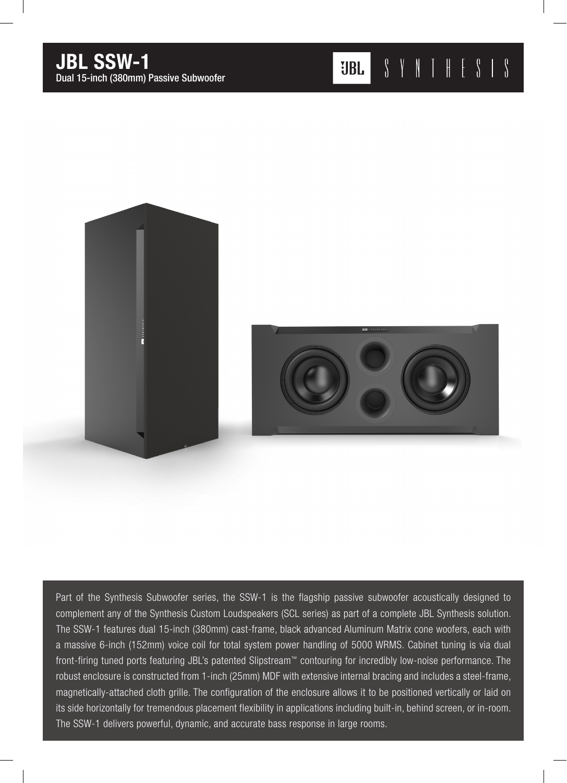

Part of the Synthesis Subwoofer series, the SSW-1 is the flagship passive subwoofer acoustically designed to complement any of the Synthesis Custom Loudspeakers (SCL series) as part of a complete JBL Synthesis solution. The SSW-1 features dual 15-inch (380mm) cast-frame, black advanced Aluminum Matrix cone woofers, each with a massive 6-inch (152mm) voice coil for total system power handling of 5000 WRMS. Cabinet tuning is via dual front-firing tuned ports featuring JBL's patented Slipstream™ contouring for incredibly low-noise performance. The robust enclosure is constructed from 1-inch (25mm) MDF with extensive internal bracing and includes a steel-frame, magnetically-attached cloth grille. The configuration of the enclosure allows it to be positioned vertically or laid on its side horizontally for tremendous placement flexibility in applications including built-in, behind screen, or in-room. The SSW-1 delivers powerful, dynamic, and accurate bass response in large rooms.